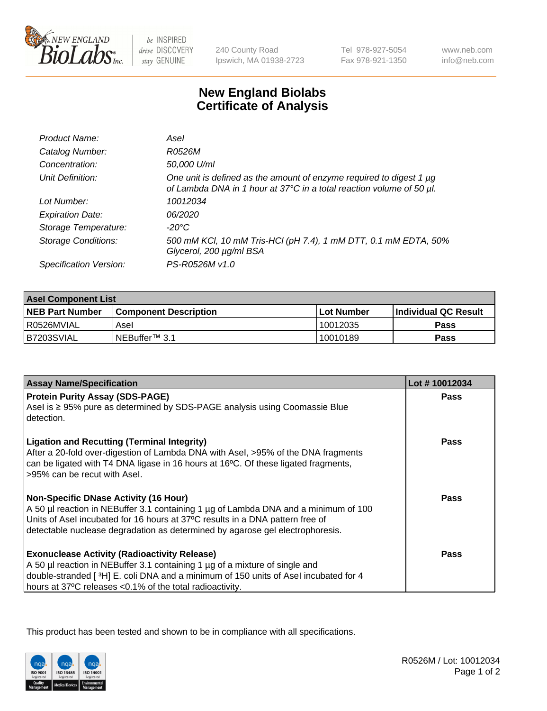

be INSPIRED drive DISCOVERY stay GENUINE

240 County Road Ipswich, MA 01938-2723 Tel 978-927-5054 Fax 978-921-1350

www.neb.com info@neb.com

## **New England Biolabs Certificate of Analysis**

| Product Name:              | Asel                                                                                                                                        |
|----------------------------|---------------------------------------------------------------------------------------------------------------------------------------------|
| Catalog Number:            | R0526M                                                                                                                                      |
| Concentration:             | 50,000 U/ml                                                                                                                                 |
| Unit Definition:           | One unit is defined as the amount of enzyme required to digest 1 µg<br>of Lambda DNA in 1 hour at 37°C in a total reaction volume of 50 µl. |
| Lot Number:                | 10012034                                                                                                                                    |
| <b>Expiration Date:</b>    | 06/2020                                                                                                                                     |
| Storage Temperature:       | $-20^{\circ}$ C                                                                                                                             |
| <b>Storage Conditions:</b> | 500 mM KCI, 10 mM Tris-HCI (pH 7.4), 1 mM DTT, 0.1 mM EDTA, 50%<br>Glycerol, 200 µg/ml BSA                                                  |
| Specification Version:     | PS-R0526M v1.0                                                                                                                              |

| <b>Asel Component List</b> |                            |              |                             |  |
|----------------------------|----------------------------|--------------|-----------------------------|--|
| <b>NEB Part Number</b>     | l Component Description    | l Lot Number | <b>Individual QC Result</b> |  |
| I R0526MVIAL               | Asel                       | 10012035     | Pass                        |  |
| B7203SVIAL                 | INEBuffer <sup>™</sup> 3.1 | 10010189     | Pass                        |  |

| <b>Assay Name/Specification</b>                                                                                                                                                                                                                                                                       | Lot #10012034 |
|-------------------------------------------------------------------------------------------------------------------------------------------------------------------------------------------------------------------------------------------------------------------------------------------------------|---------------|
| <b>Protein Purity Assay (SDS-PAGE)</b><br>Asel is ≥ 95% pure as determined by SDS-PAGE analysis using Coomassie Blue<br>detection.                                                                                                                                                                    | <b>Pass</b>   |
| <b>Ligation and Recutting (Terminal Integrity)</b><br>After a 20-fold over-digestion of Lambda DNA with Asel, >95% of the DNA fragments<br>can be ligated with T4 DNA ligase in 16 hours at 16°C. Of these ligated fragments,<br>>95% can be recut with Asel.                                         | Pass          |
| <b>Non-Specific DNase Activity (16 Hour)</b><br>A 50 µl reaction in NEBuffer 3.1 containing 1 µg of Lambda DNA and a minimum of 100<br>Units of Asel incubated for 16 hours at 37°C results in a DNA pattern free of<br>detectable nuclease degradation as determined by agarose gel electrophoresis. | <b>Pass</b>   |
| <b>Exonuclease Activity (Radioactivity Release)</b><br>A 50 µl reaction in NEBuffer 3.1 containing 1 µg of a mixture of single and<br>double-stranded [ $3H$ ] E. coli DNA and a minimum of 150 units of Asel incubated for 4<br>hours at 37°C releases <0.1% of the total radioactivity.             | Pass          |

This product has been tested and shown to be in compliance with all specifications.